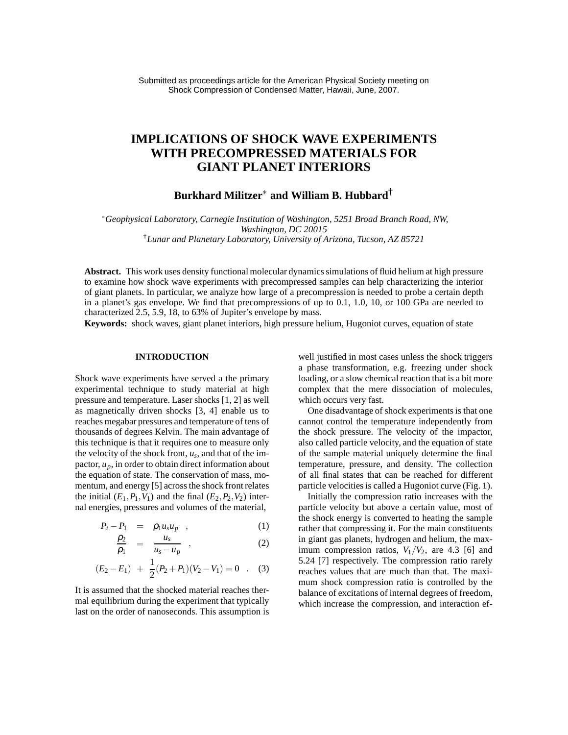# **IMPLICATIONS OF SHOCK WAVE EXPERIMENTS WITH PRECOMPRESSED MATERIALS FOR GIANT PLANET INTERIORS**

## **Burkhard Militzer**<sup>∗</sup> **and William B. Hubbard**†

<sup>∗</sup>*Geophysical Laboratory, Carnegie Institution of Washington, 5251 Broad Branch Road, NW, Washington, DC 20015* †*Lunar and Planetary Laboratory, University of Arizona, Tucson, AZ 85721*

**Abstract.** This work uses density functional molecular dynamics simulations of fluid helium at high pressure to examine how shock wave experiments with precompressed samples can help characterizing the interior of giant planets. In particular, we analyze how large of a precompression is needed to probe a certain depth in a planet's gas envelope. We find that precompressions of up to 0.1, 1.0, 10, or 100 GPa are needed to characterized 2.5, 5.9, 18, to 63% of Jupiter's envelope by mass.

**Keywords:** shock waves, giant planet interiors, high pressure helium, Hugoniot curves, equation of state

## **INTRODUCTION**

Shock wave experiments have served a the primary experimental technique to study material at high pressure and temperature. Laser shocks [1, 2] as well as magnetically driven shocks [3, 4] enable us to reaches megabar pressures and temperature of tens of thousands of degrees Kelvin. The main advantage of this technique is that it requires one to measure only the velocity of the shock front,  $u_s$ , and that of the impactor,  $u_p$ , in order to obtain direct information about the equation of state. The conservation of mass, momentum, and energy [5] across the shock front relates the initial  $(E_1, P_1, V_1)$  and the final  $(E_2, P_2, V_2)$  internal energies, pressures and volumes of the material,

$$
P_2 - P_1 = \rho_1 u_s u_p \quad , \tag{1}
$$

$$
\frac{\rho_2}{\rho_1} = \frac{u_s}{u_s - u_p} \quad , \tag{2}
$$

$$
(E_2 - E_1) + \frac{1}{2}(P_2 + P_1)(V_2 - V_1) = 0 . (3)
$$

It is assumed that the shocked material reaches thermal equilibrium during the experiment that typically last on the order of nanoseconds. This assumption is well justified in most cases unless the shock triggers a phase transformation, e.g. freezing under shock loading, or a slow chemical reaction that is a bit more complex that the mere dissociation of molecules, which occurs very fast.

One disadvantage of shock experiments is that one cannot control the temperature independently from the shock pressure. The velocity of the impactor, also called particle velocity, and the equation of state of the sample material uniquely determine the final temperature, pressure, and density. The collection of all final states that can be reached for different particle velocities is called a Hugoniot curve (Fig. 1).

Initially the compression ratio increases with the particle velocity but above a certain value, most of the shock energy is converted to heating the sample rather that compressing it. For the main constituents in giant gas planets, hydrogen and helium, the maximum compression ratios,  $V_1/V_2$ , are 4.3 [6] and 5.24 [7] respectively. The compression ratio rarely reaches values that are much than that. The maximum shock compression ratio is controlled by the balance of excitations of internal degrees of freedom, which increase the compression, and interaction ef-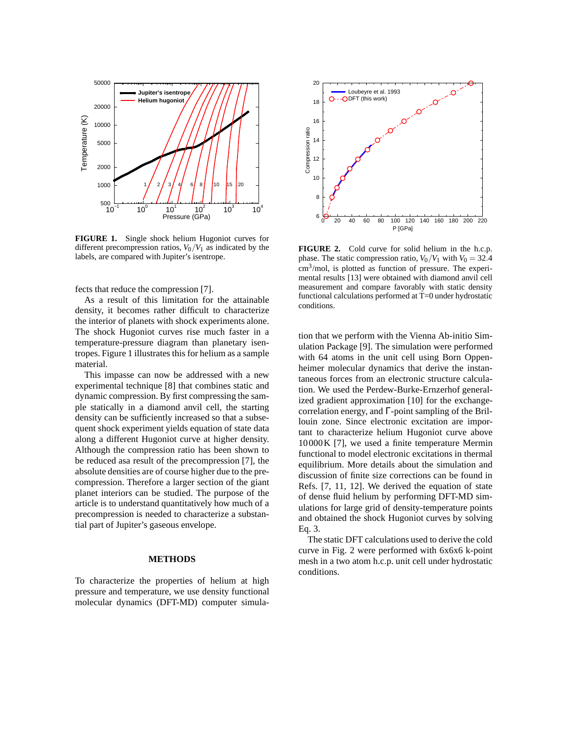

**FIGURE 1.** Single shock helium Hugoniot curves for different precompression ratios,  $V_0/V_1$  as indicated by the labels, are compared with Jupiter's isentrope.

fects that reduce the compression [7].

As a result of this limitation for the attainable density, it becomes rather difficult to characterize the interior of planets with shock experiments alone. The shock Hugoniot curves rise much faster in a temperature-pressure diagram than planetary isentropes. Figure 1 illustrates this for helium as a sample material.

This impasse can now be addressed with a new experimental technique [8] that combines static and dynamic compression. By first compressing the sample statically in a diamond anvil cell, the starting density can be sufficiently increased so that a subsequent shock experiment yields equation of state data along a different Hugoniot curve at higher density. Although the compression ratio has been shown to be reduced asa result of the precompression [7], the absolute densities are of course higher due to the precompression. Therefore a larger section of the giant planet interiors can be studied. The purpose of the article is to understand quantitatively how much of a precompression is needed to characterize a substantial part of Jupiter's gaseous envelope.

#### **METHODS**

To characterize the properties of helium at high pressure and temperature, we use density functional molecular dynamics (DFT-MD) computer simula-



**FIGURE 2.** Cold curve for solid helium in the h.c.p. phase. The static compression ratio,  $V_0/V_1$  with  $V_0 = 32.4$ cm<sup>3</sup> /mol, is plotted as function of pressure. The experimental results [13] were obtained with diamond anvil cell measurement and compare favorably with static density functional calculations performed at T=0 under hydrostatic conditions.

tion that we perform with the Vienna Ab-initio Simulation Package [9]. The simulation were performed with 64 atoms in the unit cell using Born Oppenheimer molecular dynamics that derive the instantaneous forces from an electronic structure calculation. We used the Perdew-Burke-Ernzerhof generalized gradient approximation [10] for the exchangecorrelation energy, and Γ-point sampling of the Brillouin zone. Since electronic excitation are important to characterize helium Hugoniot curve above 10000K [7], we used a finite temperature Mermin functional to model electronic excitations in thermal equilibrium. More details about the simulation and discussion of finite size corrections can be found in Refs. [7, 11, 12]. We derived the equation of state of dense fluid helium by performing DFT-MD simulations for large grid of density-temperature points and obtained the shock Hugoniot curves by solving Eq. 3.

The static DFT calculations used to derive the cold curve in Fig. 2 were performed with 6x6x6 k-point mesh in a two atom h.c.p. unit cell under hydrostatic conditions.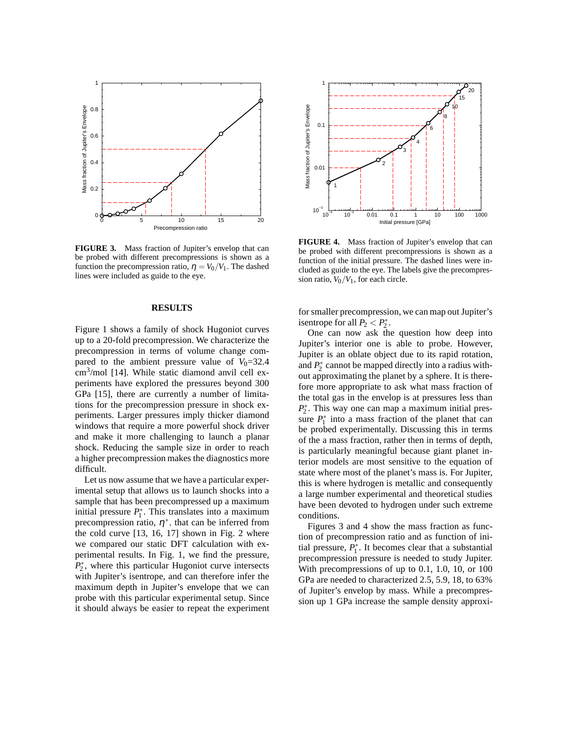

**FIGURE 3.** Mass fraction of Jupiter's envelop that can be probed with different precompressions is shown as a function the precompression ratio,  $\eta = V_0/V_1$ . The dashed lines were included as guide to the eye.

#### **RESULTS**

Figure 1 shows a family of shock Hugoniot curves up to a 20-fold precompression. We characterize the precompression in terms of volume change compared to the ambient pressure value of  $V_0$ =32.4 cm<sup>3</sup> /mol [14]. While static diamond anvil cell experiments have explored the pressures beyond 300 GPa [15], there are currently a number of limitations for the precompression pressure in shock experiments. Larger pressures imply thicker diamond windows that require a more powerful shock driver and make it more challenging to launch a planar shock. Reducing the sample size in order to reach a higher precompression makes the diagnostics more difficult.

Let us now assume that we have a particular experimental setup that allows us to launch shocks into a sample that has been precompressed up a maximum initial pressure  $P_1^*$  $i_1^*$ . This translates into a maximum precompression ratio,  $\eta^*$ , that can be inferred from the cold curve [13, 16, 17] shown in Fig. 2 where we compared our static DFT calculation with experimental results. In Fig. 1, we find the pressure, *P* ∗ 2 , where this particular Hugoniot curve intersects with Jupiter's isentrope, and can therefore infer the maximum depth in Jupiter's envelope that we can probe with this particular experimental setup. Since it should always be easier to repeat the experiment



**FIGURE 4.** Mass fraction of Jupiter's envelop that can be probed with different precompressions is shown as a function of the initial pressure. The dashed lines were included as guide to the eye. The labels give the precompression ratio,  $V_0/V_1$ , for each circle.

for smaller precompression, we can map out Jupiter's isentrope for all  $P_2$  <  $P_2^*$  $\frac{1}{2}$ .

One can now ask the question how deep into Jupiter's interior one is able to probe. However, Jupiter is an oblate object due to its rapid rotation, and  $P_2^*$  $2^*$  cannot be mapped directly into a radius without approximating the planet by a sphere. It is therefore more appropriate to ask what mass fraction of the total gas in the envelop is at pressures less than *P* ∗ 2 . This way one can map a maximum initial pressure *P* ∗  $i_1^*$  into a mass fraction of the planet that can be probed experimentally. Discussing this in terms of the a mass fraction, rather then in terms of depth, is particularly meaningful because giant planet interior models are most sensitive to the equation of state where most of the planet's mass is. For Jupiter, this is where hydrogen is metallic and consequently a large number experimental and theoretical studies have been devoted to hydrogen under such extreme conditions.

Figures 3 and 4 show the mass fraction as function of precompression ratio and as function of initial pressure,  $P_1^*$  $i_1^*$ . It becomes clear that a substantial precompression pressure is needed to study Jupiter. With precompressions of up to 0.1, 1.0, 10, or 100 GPa are needed to characterized 2.5, 5.9, 18, to 63% of Jupiter's envelop by mass. While a precompression up 1 GPa increase the sample density approxi-